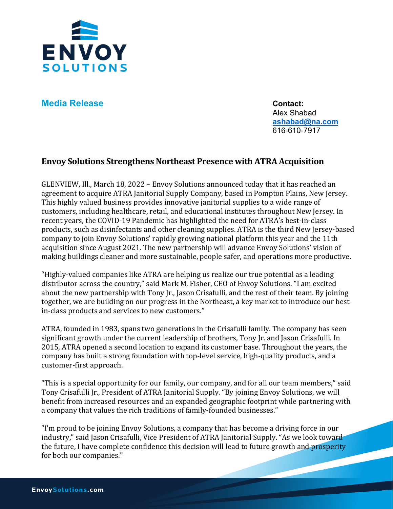

**Media Release Contact:** 

Alex Shabad **[ashabad@na.com](mailto:ashabad@na.com)** 616-610-7917

## **Envoy Solutions Strengthens Northeast Presence with ATRA Acquisition**

GLENVIEW, Ill., March 18, 2022 – Envoy Solutions announced today that it has reached an agreement to acquire ATRA Janitorial Supply Company, based in Pompton Plains, New Jersey. This highly valued business provides innovative janitorial supplies to a wide range of customers, including healthcare, retail, and educational institutes throughout New Jersey. In recent years, the COVID-19 Pandemic has highlighted the need for ATRA's best-in-class products, such as disinfectants and other cleaning supplies. ATRA is the third New Jersey-based company to join Envoy Solutions' rapidly growing national platform this year and the 11th acquisition since August 2021. The new partnership will advance Envoy Solutions' vision of making buildings cleaner and more sustainable, people safer, and operations more productive.

"Highly-valued companies like ATRA are helping us realize our true potential as a leading distributor across the country," said Mark M. Fisher, CEO of Envoy Solutions. "I am excited about the new partnership with Tony Jr., Jason Crisafulli, and the rest of their team. By joining together, we are building on our progress in the Northeast, a key market to introduce our bestin-class products and services to new customers."

ATRA, founded in 1983, spans two generations in the Crisafulli family. The company has seen significant growth under the current leadership of brothers, Tony Jr. and Jason Crisafulli. In 2015, ATRA opened a second location to expand its customer base. Throughout the years, the company has built a strong foundation with top-level service, high-quality products, and a customer-first approach.

"This is a special opportunity for our family, our company, and for all our team members," said Tony Crisafulli Jr., President of ATRA Janitorial Supply. "By joining Envoy Solutions, we will benefit from increased resources and an expanded geographic footprint while partnering with a company that values the rich traditions of family-founded businesses."

"I'm proud to be joining Envoy Solutions, a company that has become a driving force in our industry," said Jason Crisafulli, Vice President of ATRA Janitorial Supply. "As we look toward" the future, I have complete confidence this decision will lead to future growth and prosperity for both our companies."